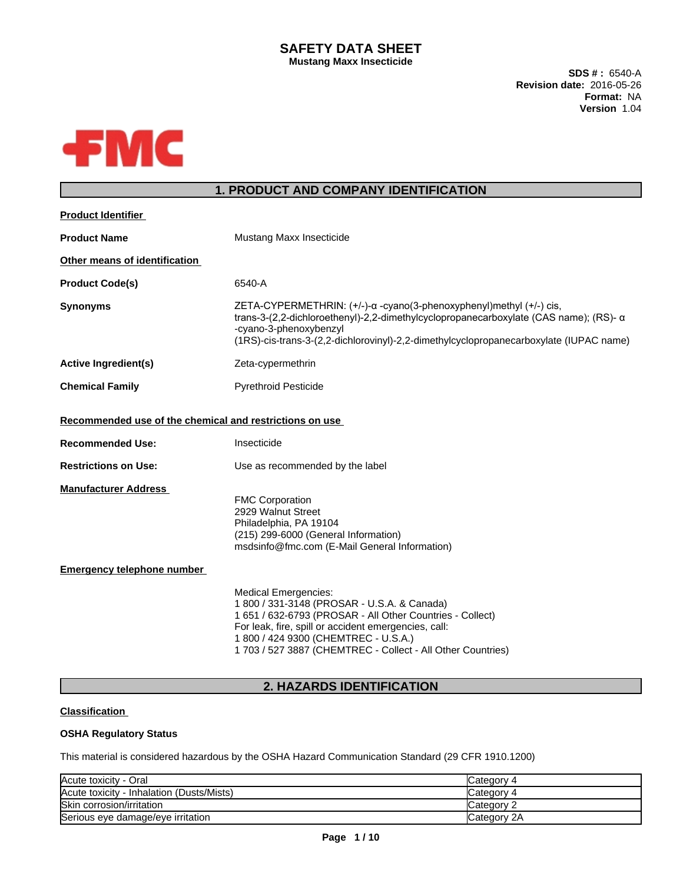## **SAFETY DATA SHEET Mustang Maxx Insecticide**

**SDS # :** 6540-A **Revision date:** 2016-05-26 **Format:** NA **Version** 1.04



# **1. PRODUCT AND COMPANY IDENTIFICATION**

| <b>Product Identifier</b>                               |                                                                                                                                                                                                                                                                                                        |
|---------------------------------------------------------|--------------------------------------------------------------------------------------------------------------------------------------------------------------------------------------------------------------------------------------------------------------------------------------------------------|
| <b>Product Name</b>                                     | Mustang Maxx Insecticide                                                                                                                                                                                                                                                                               |
| Other means of identification                           |                                                                                                                                                                                                                                                                                                        |
| <b>Product Code(s)</b>                                  | 6540-A                                                                                                                                                                                                                                                                                                 |
| <b>Synonyms</b>                                         | $ZETA-CYPERMETHRIN: (+/-)-\alpha$ -cyano(3-phenoxyphenyl)methyl $(+/-)$ cis,<br>trans-3-(2,2-dichloroethenyl)-2,2-dimethylcyclopropanecarboxylate (CAS name); (RS)- $\alpha$<br>-cyano-3-phenoxybenzyl<br>(1RS)-cis-trans-3-(2,2-dichlorovinyl)-2,2-dimethylcyclopropanecarboxylate (IUPAC name)       |
| <b>Active Ingredient(s)</b>                             | Zeta-cypermethrin                                                                                                                                                                                                                                                                                      |
| <b>Chemical Family</b>                                  | <b>Pyrethroid Pesticide</b>                                                                                                                                                                                                                                                                            |
| Recommended use of the chemical and restrictions on use |                                                                                                                                                                                                                                                                                                        |
| <b>Recommended Use:</b>                                 | Insecticide                                                                                                                                                                                                                                                                                            |
| <b>Restrictions on Use:</b>                             | Use as recommended by the label                                                                                                                                                                                                                                                                        |
| <b>Manufacturer Address</b>                             | <b>FMC Corporation</b><br>2929 Walnut Street<br>Philadelphia, PA 19104<br>(215) 299-6000 (General Information)<br>msdsinfo@fmc.com (E-Mail General Information)                                                                                                                                        |
| <b>Emergency telephone number</b>                       |                                                                                                                                                                                                                                                                                                        |
|                                                         | <b>Medical Emergencies:</b><br>1 800 / 331-3148 (PROSAR - U.S.A. & Canada)<br>1 651 / 632-6793 (PROSAR - All Other Countries - Collect)<br>For leak, fire, spill or accident emergencies, call:<br>1 800 / 424 9300 (CHEMTREC - U.S.A.)<br>1 703 / 527 3887 (CHEMTREC - Collect - All Other Countries) |

# **2. HAZARDS IDENTIFICATION**

## **Classification**

## **OSHA Regulatory Status**

This material is considered hazardous by the OSHA Hazard Communication Standard (29 CFR 1910.1200)

| Acute toxicity - Oral                     | Category 4          |
|-------------------------------------------|---------------------|
| Acute toxicity - Inhalation (Dusts/Mists) | Category 4          |
| Skin corrosion/irritation                 | Category 2          |
| Serious eye damage/eye irritation         | <b>ICategory 2A</b> |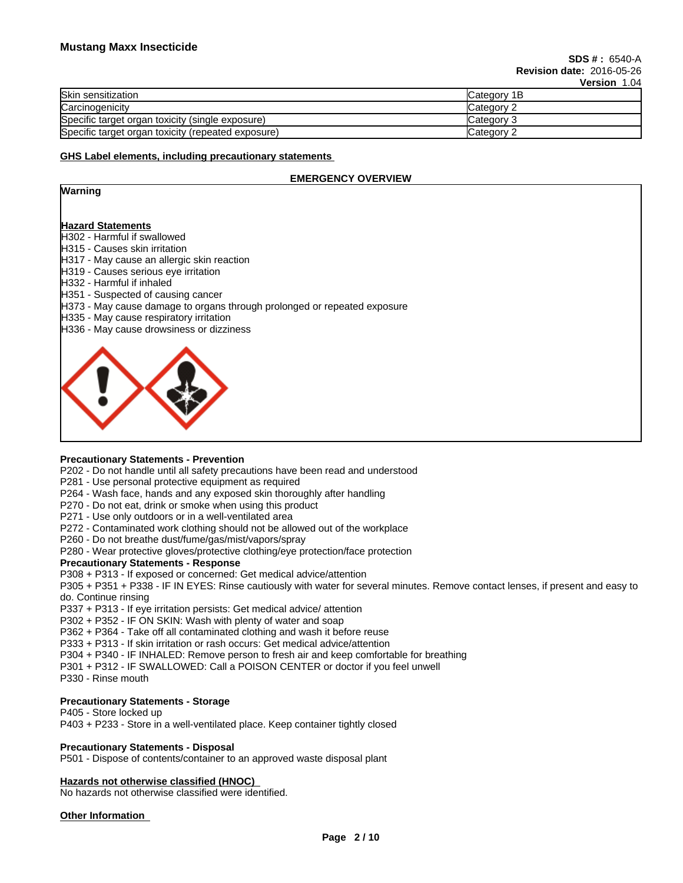|                                                    | 1908 - 1919 |
|----------------------------------------------------|-------------|
| <b>Skin sensitization</b>                          | Category 1B |
| Carcinogenicity                                    | Category 2  |
| Specific target organ toxicity (single exposure)   | Category 3  |
| Specific target organ toxicity (repeated exposure) | Category 2  |

#### **GHS Label elements, including precautionary statements**

## **EMERGENCY OVERVIEW**

| Warning |  |
|---------|--|
|---------|--|

#### **Hazard Statements**

- H302 Harmful if swallowed
- H315 Causes skin irritation
- H317 May cause an allergic skin reaction
- H319 Causes serious eye irritation
- H332 Harmful if inhaled
- H351 Suspected of causing cancer
- H373 May cause damage to organs through prolonged or repeated exposure
- H335 May cause respiratory irritation
- H336 May cause drowsiness or dizziness



## **Precautionary Statements - Prevention**

P202 - Do not handle until all safety precautions have been read and understood

- P281 Use personal protective equipment as required
- P264 Wash face, hands and any exposed skin thoroughly after handling
- P270 Do not eat, drink or smoke when using this product
- P271 Use only outdoors or in a well-ventilated area
- P272 Contaminated work clothing should not be allowed out of the workplace
- P260 Do not breathe dust/fume/gas/mist/vapors/spray
- P280 Wear protective gloves/protective clothing/eye protection/face protection

## **Precautionary Statements - Response**

P308 + P313 - If exposed or concerned: Get medical advice/attention

P305 + P351 + P338 - IF IN EYES: Rinse cautiously with water forseveral minutes. Remove contact lenses, if present and easy to do. Continue rinsing

P337 + P313 - If eye irritation persists: Get medical advice/ attention

P302 + P352 - IF ON SKIN: Wash with plenty of water and soap

P362 + P364 - Take off all contaminated clothing and wash it before reuse

P333 + P313 - If skin irritation or rash occurs: Get medical advice/attention

- P304 + P340 IF INHALED: Remove person to fresh air and keep comfortable for breathing
- P301 + P312 IF SWALLOWED: Call a POISON CENTER or doctor if you feel unwell
- P330 Rinse mouth

## **Precautionary Statements - Storage**

## P405 - Store locked up

P403 + P233 - Store in a well-ventilated place. Keep container tightly closed

## **Precautionary Statements - Disposal**

P501 - Dispose of contents/container to an approved waste disposal plant

## **Hazards not otherwise classified (HNOC)**

No hazards not otherwise classified were identified.

## **Other Information**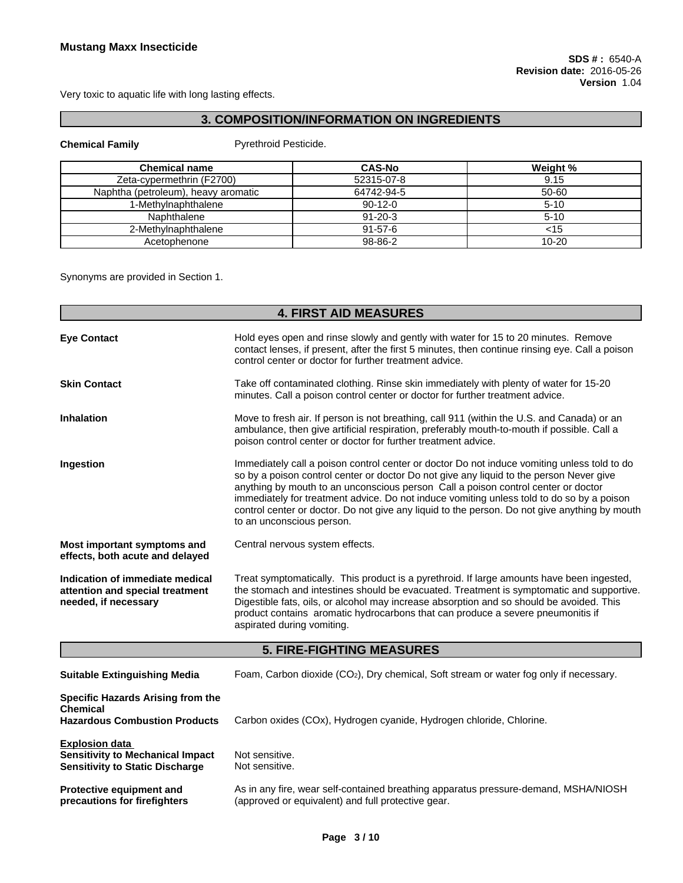Very toxic to aquatic life with long lasting effects.

# **3. COMPOSITION/INFORMATION ON INGREDIENTS**

## **Chemical Family Pyrethroid Pesticide.**

| <b>Chemical name</b>                | <b>CAS-No</b> | Weight %  |
|-------------------------------------|---------------|-----------|
| Zeta-cypermethrin (F2700)           | 52315-07-8    | 9.15      |
| Naphtha (petroleum), heavy aromatic | 64742-94-5    | 50-60     |
| 1-Methylnaphthalene                 | $90-12-0$     | $5 - 10$  |
| Naphthalene                         | $91 - 20 - 3$ | 5-10      |
| 2-Methylnaphthalene                 | $91 - 57 - 6$ | <15       |
| Acetophenone                        | 98-86-2       | $10 - 20$ |

Synonyms are provided in Section 1.

|                                                                                                            | <b>4. FIRST AID MEASURES</b>                                                                                                                                                                                                                                                                                                                                                                                                                                                                           |
|------------------------------------------------------------------------------------------------------------|--------------------------------------------------------------------------------------------------------------------------------------------------------------------------------------------------------------------------------------------------------------------------------------------------------------------------------------------------------------------------------------------------------------------------------------------------------------------------------------------------------|
| <b>Eye Contact</b>                                                                                         | Hold eyes open and rinse slowly and gently with water for 15 to 20 minutes. Remove<br>contact lenses, if present, after the first 5 minutes, then continue rinsing eye. Call a poison<br>control center or doctor for further treatment advice.                                                                                                                                                                                                                                                        |
| <b>Skin Contact</b>                                                                                        | Take off contaminated clothing. Rinse skin immediately with plenty of water for 15-20<br>minutes. Call a poison control center or doctor for further treatment advice.                                                                                                                                                                                                                                                                                                                                 |
| <b>Inhalation</b>                                                                                          | Move to fresh air. If person is not breathing, call 911 (within the U.S. and Canada) or an<br>ambulance, then give artificial respiration, preferably mouth-to-mouth if possible. Call a<br>poison control center or doctor for further treatment advice.                                                                                                                                                                                                                                              |
| Ingestion                                                                                                  | Immediately call a poison control center or doctor Do not induce vomiting unless told to do<br>so by a poison control center or doctor Do not give any liquid to the person Never give<br>anything by mouth to an unconscious person Call a poison control center or doctor<br>immediately for treatment advice. Do not induce vomiting unless told to do so by a poison<br>control center or doctor. Do not give any liquid to the person. Do not give anything by mouth<br>to an unconscious person. |
| Most important symptoms and<br>effects, both acute and delayed                                             | Central nervous system effects.                                                                                                                                                                                                                                                                                                                                                                                                                                                                        |
| Indication of immediate medical<br>attention and special treatment<br>needed, if necessary                 | Treat symptomatically. This product is a pyrethroid. If large amounts have been ingested,<br>the stomach and intestines should be evacuated. Treatment is symptomatic and supportive.<br>Digestible fats, oils, or alcohol may increase absorption and so should be avoided. This<br>product contains aromatic hydrocarbons that can produce a severe pneumonitis if<br>aspirated during vomiting.                                                                                                     |
|                                                                                                            | <b>5. FIRE-FIGHTING MEASURES</b>                                                                                                                                                                                                                                                                                                                                                                                                                                                                       |
| <b>Suitable Extinguishing Media</b>                                                                        | Foam, Carbon dioxide (CO <sub>2</sub> ), Dry chemical, Soft stream or water fog only if necessary.                                                                                                                                                                                                                                                                                                                                                                                                     |
| Specific Hazards Arising from the<br><b>Chemical</b><br><b>Hazardous Combustion Products</b>               | Carbon oxides (COx), Hydrogen cyanide, Hydrogen chloride, Chlorine.                                                                                                                                                                                                                                                                                                                                                                                                                                    |
| <b>Explosion data</b><br><b>Sensitivity to Mechanical Impact</b><br><b>Sensitivity to Static Discharge</b> | Not sensitive.<br>Not sensitive.                                                                                                                                                                                                                                                                                                                                                                                                                                                                       |
| Protective equipment and<br>precautions for firefighters                                                   | As in any fire, wear self-contained breathing apparatus pressure-demand, MSHA/NIOSH<br>(approved or equivalent) and full protective gear.                                                                                                                                                                                                                                                                                                                                                              |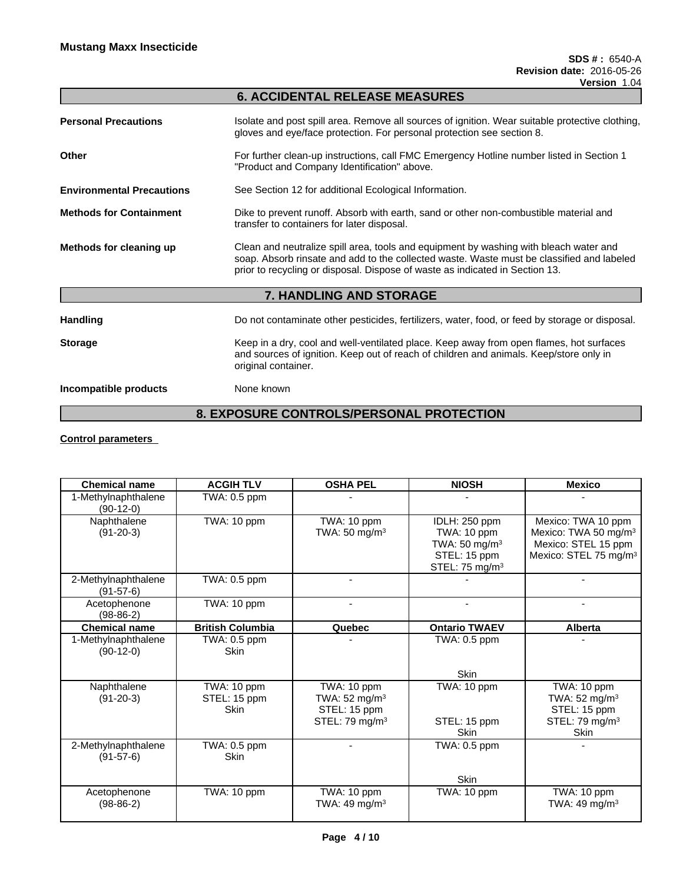|                                  | <b>6. ACCIDENTAL RELEASE MEASURES</b>                                                                                                                                                                                                                              |
|----------------------------------|--------------------------------------------------------------------------------------------------------------------------------------------------------------------------------------------------------------------------------------------------------------------|
| <b>Personal Precautions</b>      | Isolate and post spill area. Remove all sources of ignition. Wear suitable protective clothing,<br>gloves and eye/face protection. For personal protection see section 8.                                                                                          |
| Other                            | For further clean-up instructions, call FMC Emergency Hotline number listed in Section 1<br>"Product and Company Identification" above.                                                                                                                            |
| <b>Environmental Precautions</b> | See Section 12 for additional Ecological Information.                                                                                                                                                                                                              |
| <b>Methods for Containment</b>   | Dike to prevent runoff. Absorb with earth, sand or other non-combustible material and<br>transfer to containers for later disposal.                                                                                                                                |
| Methods for cleaning up          | Clean and neutralize spill area, tools and equipment by washing with bleach water and<br>soap. Absorb rinsate and add to the collected waste. Waste must be classified and labeled<br>prior to recycling or disposal. Dispose of waste as indicated in Section 13. |
|                                  | 7. HANDLING AND STORAGE                                                                                                                                                                                                                                            |
| <b>Handling</b>                  | Do not contaminate other pesticides, fertilizers, water, food, or feed by storage or disposal.                                                                                                                                                                     |
| <b>Storage</b>                   | Keep in a dry, cool and well-ventilated place. Keep away from open flames, hot surfaces<br>and sources of ignition. Keep out of reach of children and animals. Keep/store only in<br>original container.                                                           |
| Incompatible products            | None known                                                                                                                                                                                                                                                         |
|                                  |                                                                                                                                                                                                                                                                    |

# **8. EXPOSURE CONTROLS/PERSONAL PROTECTION**

## **Control parameters**

| <b>Chemical name</b>               | <b>ACGIH TLV</b>                           | <b>OSHA PEL</b>                                                                       | <b>NIOSH</b>                                                                                           | <b>Mexico</b>                                                                                                      |
|------------------------------------|--------------------------------------------|---------------------------------------------------------------------------------------|--------------------------------------------------------------------------------------------------------|--------------------------------------------------------------------------------------------------------------------|
|                                    |                                            |                                                                                       |                                                                                                        |                                                                                                                    |
| 1-Methylnaphthalene<br>$(90-12-0)$ | TWA: 0.5 ppm                               |                                                                                       |                                                                                                        |                                                                                                                    |
| Naphthalene<br>$(91-20-3)$         | TWA: 10 ppm                                | TWA: 10 ppm<br>TWA: $50 \text{ mg/m}^3$                                               | IDLH: 250 ppm<br>TWA: 10 ppm<br>TWA: $50 \text{ mg/m}^3$<br>STEL: 15 ppm<br>STEL: 75 mg/m <sup>3</sup> | Mexico: TWA 10 ppm<br>Mexico: TWA 50 mg/m <sup>3</sup><br>Mexico: STEL 15 ppm<br>Mexico: STEL 75 mg/m <sup>3</sup> |
| 2-Methylnaphthalene<br>$(91-57-6)$ | TWA: 0.5 ppm                               |                                                                                       |                                                                                                        |                                                                                                                    |
| Acetophenone<br>$(98-86-2)$        | TWA: 10 ppm                                |                                                                                       |                                                                                                        |                                                                                                                    |
| <b>Chemical name</b>               | <b>British Columbia</b>                    | Quebec                                                                                | <b>Ontario TWAEV</b>                                                                                   | <b>Alberta</b>                                                                                                     |
| 1-Methylnaphthalene<br>$(90-12-0)$ | TWA: 0.5 ppm<br><b>Skin</b>                |                                                                                       | TWA: 0.5 ppm                                                                                           |                                                                                                                    |
|                                    |                                            |                                                                                       | <b>Skin</b>                                                                                            |                                                                                                                    |
| Naphthalene<br>$(91-20-3)$         | TWA: 10 ppm<br>STEL: 15 ppm<br><b>Skin</b> | TWA: 10 ppm<br>TWA: $52 \text{ mg/m}^3$<br>STEL: 15 ppm<br>STEL: 79 mg/m <sup>3</sup> | TWA: 10 ppm<br>STEL: 15 ppm<br>Skin                                                                    | TWA: 10 ppm<br>TWA: $52 \text{ mg/m}^3$<br>STEL: 15 ppm<br>STEL: 79 mg/m <sup>3</sup><br><b>Skin</b>               |
| 2-Methylnaphthalene<br>$(91-57-6)$ | TWA: 0.5 ppm<br><b>Skin</b>                |                                                                                       | TWA: 0.5 ppm                                                                                           |                                                                                                                    |
|                                    |                                            |                                                                                       | Skin                                                                                                   |                                                                                                                    |
| Acetophenone<br>$(98-86-2)$        | TWA: 10 ppm                                | TWA: 10 ppm<br>TWA: 49 mg/m <sup>3</sup>                                              | TWA: 10 ppm                                                                                            | TWA: 10 ppm<br>TWA: 49 mg/m <sup>3</sup>                                                                           |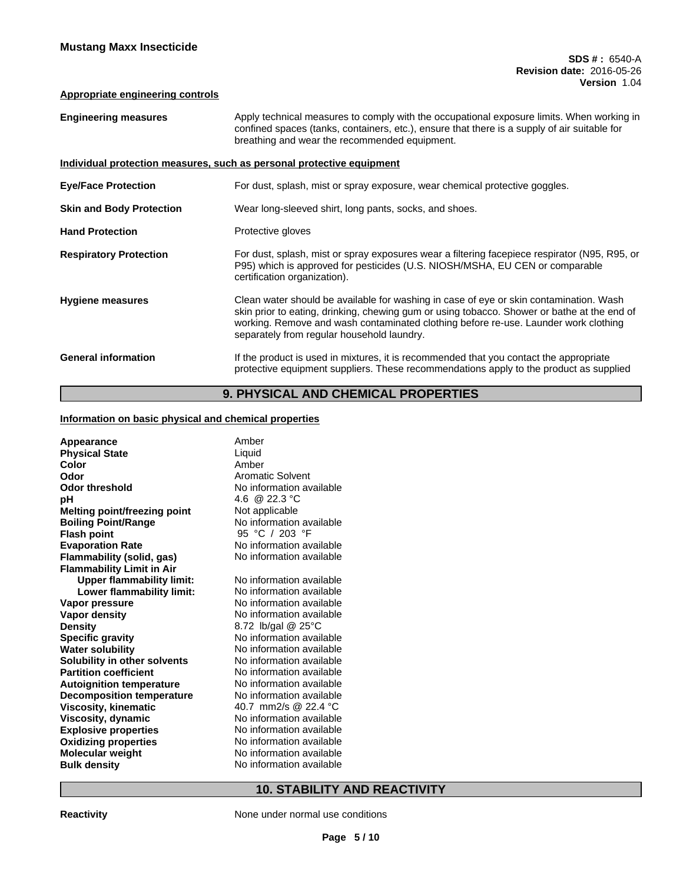## **Appropriate engineering controls**

| <b>Engineering measures</b>     | Apply technical measures to comply with the occupational exposure limits. When working in<br>confined spaces (tanks, containers, etc.), ensure that there is a supply of air suitable for<br>breathing and wear the recommended equipment.                                                                                 |
|---------------------------------|----------------------------------------------------------------------------------------------------------------------------------------------------------------------------------------------------------------------------------------------------------------------------------------------------------------------------|
|                                 | Individual protection measures, such as personal protective equipment                                                                                                                                                                                                                                                      |
| <b>Eye/Face Protection</b>      | For dust, splash, mist or spray exposure, wear chemical protective goggles.                                                                                                                                                                                                                                                |
| <b>Skin and Body Protection</b> | Wear long-sleeved shirt, long pants, socks, and shoes.                                                                                                                                                                                                                                                                     |
| <b>Hand Protection</b>          | Protective gloves                                                                                                                                                                                                                                                                                                          |
| <b>Respiratory Protection</b>   | For dust, splash, mist or spray exposures wear a filtering facepiece respirator (N95, R95, or<br>P95) which is approved for pesticides (U.S. NIOSH/MSHA, EU CEN or comparable<br>certification organization).                                                                                                              |
| <b>Hygiene measures</b>         | Clean water should be available for washing in case of eye or skin contamination. Wash<br>skin prior to eating, drinking, chewing gum or using tobacco. Shower or bathe at the end of<br>working. Remove and wash contaminated clothing before re-use. Launder work clothing<br>separately from regular household laundry. |
| <b>General information</b>      | If the product is used in mixtures, it is recommended that you contact the appropriate<br>protective equipment suppliers. These recommendations apply to the product as supplied                                                                                                                                           |
|                                 |                                                                                                                                                                                                                                                                                                                            |

# **9. PHYSICAL AND CHEMICAL PROPERTIES**

## **Information on basic physical and chemical properties**

| Appearance<br><b>Physical State</b><br>Color<br>Odor | Amber<br>Liquid<br>Amber<br><b>Aromatic Solvent</b> |
|------------------------------------------------------|-----------------------------------------------------|
| <b>Odor threshold</b>                                | No information available                            |
| рH                                                   | 4.6 @ 22.3 °C                                       |
| <b>Melting point/freezing point</b>                  | Not applicable                                      |
| <b>Boiling Point/Range</b>                           | No information available                            |
| <b>Flash point</b>                                   | 95 °C / 203 °F                                      |
| <b>Evaporation Rate</b>                              | No information available                            |
| Flammability (solid, gas)                            | No information available                            |
| <b>Flammability Limit in Air</b>                     |                                                     |
| <b>Upper flammability limit:</b>                     | No information available                            |
| Lower flammability limit:                            | No information available                            |
| Vapor pressure                                       | No information available                            |
| Vapor density                                        | No information available                            |
| <b>Density</b>                                       | 8.72 lb/gal @ 25°C                                  |
| <b>Specific gravity</b>                              | No information available                            |
| <b>Water solubility</b>                              | No information available                            |
| Solubility in other solvents                         | No information available                            |
| <b>Partition coefficient</b>                         | No information available                            |
| <b>Autoignition temperature</b>                      | No information available                            |
| <b>Decomposition temperature</b>                     | No information available                            |
| <b>Viscosity, kinematic</b>                          | 40.7 mm2/s @ 22.4 °C                                |
| Viscosity, dynamic                                   | No information available                            |
| <b>Explosive properties</b>                          | No information available                            |
| <b>Oxidizing properties</b>                          | No information available                            |
| <b>Molecular weight</b>                              | No information available                            |
| <b>Bulk density</b>                                  | No information available                            |

# **10. STABILITY AND REACTIVITY**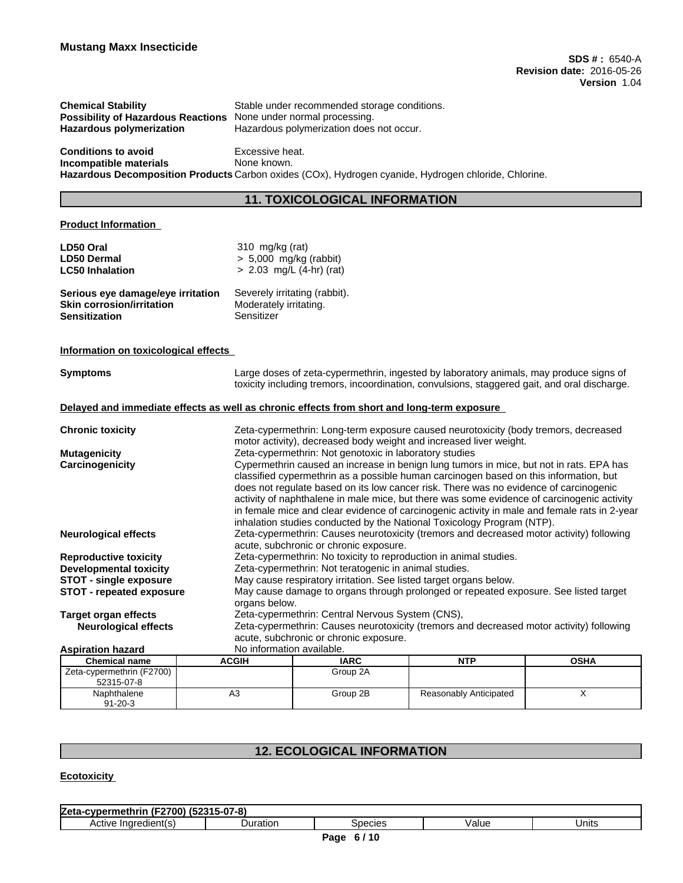| Stable under recommended storage conditions.                            |
|-------------------------------------------------------------------------|
| <b>Possibility of Hazardous Reactions</b> None under normal processing. |
| Hazardous polymerization does not occur.                                |
|                                                                         |

**Conditions to avoid** Excessive heat. **Incompatible materials** None known. **Hazardous Decomposition Products** Carbon oxides (COx), Hydrogen cyanide, Hydrogen chloride, Chlorine.

## **11. TOXICOLOGICAL INFORMATION**

## **Product Information**

| LD50 Oral                                                             | 310 $mg/kg$ (rat)                                                                                                                                                                                                                                                         |
|-----------------------------------------------------------------------|---------------------------------------------------------------------------------------------------------------------------------------------------------------------------------------------------------------------------------------------------------------------------|
| LD50 Dermal                                                           | $> 5,000$ mg/kg (rabbit)                                                                                                                                                                                                                                                  |
| <b>LC50 Inhalation</b>                                                | $> 2.03$ mg/L (4-hr) (rat)                                                                                                                                                                                                                                                |
| Serious eye damage/eye irritation<br><b>Skin corrosion/irritation</b> | Severely irritating (rabbit).<br>Moderately irritating.                                                                                                                                                                                                                   |
| <b>Sensitization</b>                                                  | Sensitizer                                                                                                                                                                                                                                                                |
| Information on toxicological effects                                  |                                                                                                                                                                                                                                                                           |
| <b>Symptoms</b>                                                       | Large doses of zeta-cypermethrin, ingested by laboratory animals, may produce signs of<br>toxicity including tremors, incoordination, convulsions, staggered gait, and oral discharge.                                                                                    |
|                                                                       | Delayed and immediate effects as well as chronic effects from short and long-term exposure                                                                                                                                                                                |
| <b>Chronic toxicity</b>                                               | Zeta-cypermethrin: Long-term exposure caused neurotoxicity (body tremors, decreased<br>motor activity), decreased body weight and increased liver weight.                                                                                                                 |
| <b>Mutagenicity</b>                                                   | Zeta-cypermethrin: Not genotoxic in laboratory studies                                                                                                                                                                                                                    |
| Carcinogenicity                                                       | Cypermethrin caused an increase in benign lung tumors in mice, but not in rats. EPA has<br>classified cypermethrin as a possible human carcinogen based on this information, but<br>does not regulate based on its low cancer risk. There was no evidence of carcinogenic |
|                                                                       | activity of naphthalene in male mice, but there was some evidence of carcinogenic activity                                                                                                                                                                                |

in female mice and clear evidence of carcinogenic activity in male and female rats in 2-year inhalation studies conducted by the National Toxicology Program (NTP). **Neurological effects** Zeta-cypermethrin: Causes neurotoxicity (tremors and decreased motor activity) following acute, subchronic or chronic exposure. **Reproductive toxicity** Zeta-cypermethrin: No toxicity to reproduction in animal studies. **Developmental toxicity** *Zeta-cypermethrin:* **Not teratogenic in animal studies. STOT** - **single exposure** May cause respiratory irritation. See listed target organs below. **STOT - repeated exposure** May cause damage to organs through prolonged or repeated exposure. See listed target organs below. **Target organ effects** Zeta-cypermethrin: Central Nervous System (CNS), **Neurological effects** Zeta-cypermethrin: Causes neurotoxicity (tremors and decreased motor activity) following acute, subchronic or chronic exposure. **Aspiration hazard** No information available.

| ASDII GUVIL HALALU                      |              |             |                        |             |
|-----------------------------------------|--------------|-------------|------------------------|-------------|
| <b>Chemical name</b>                    | <b>ACGIH</b> | <b>IARC</b> | <b>NTP</b>             | <b>OSHA</b> |
| Zeta-cypermethrin (F2700)<br>52315-07-8 |              | Group 2A    |                        |             |
| Naphthalene<br>$91 - 20 - 3$            | A3           | Group 2B    | Reasonably Anticipated |             |

# **12. ECOLOGICAL INFORMATION**

## **Ecotoxicity**

| $\sim$<br>$\overline{\phantom{a}}$<br>$\mathbf{a}$<br>ıethrii<br>l∠eta<br>. המי<br>. |        |            |       |       |  |  |  |  |
|--------------------------------------------------------------------------------------|--------|------------|-------|-------|--|--|--|--|
| 116<br>ACTIVE                                                                        | atıor: | $n$ $\sim$ | /alue | Units |  |  |  |  |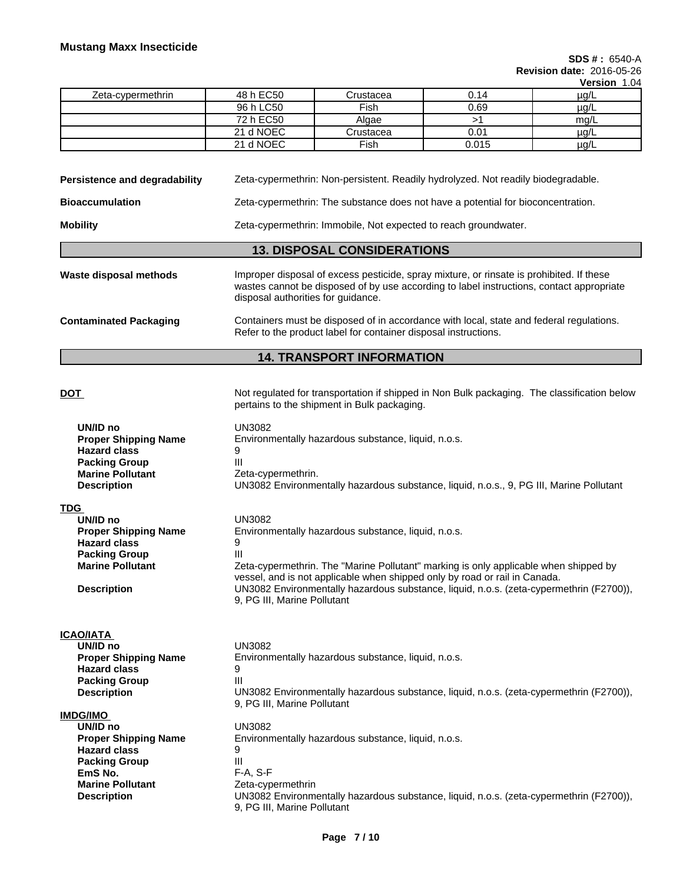**SDS # :** 6540-A **Revision date:** 2016-05-26

**Version** 1.04

|                   |           |             |       | 1001      |
|-------------------|-----------|-------------|-------|-----------|
| Zeta-cypermethrin | 48 h EC50 | Crustacea   | 0.14  | µg/L      |
|                   | 96 h LC50 | Fish        | 0.69  | µg/L      |
|                   | 72 h EC50 | Algae       |       | mg/L      |
|                   | 21 d NOEC | Crustacea   | 0.01  | $\mu$ g/L |
|                   | 21 d NOEC | <b>Fish</b> | 0.015 | $\mu$ g/L |

**Persistence and degradability** Zeta-cypermethrin: Non-persistent. Readily hydrolyzed. Not readily biodegradable.

**Bioaccumulation** Zeta-cypermethrin: The substance does not have a potential for bioconcentration.

**Mobility** Zeta-cypermethrin: Immobile, Not expected to reach groundwater.

- **13. DISPOSAL CONSIDERATIONS**
- Waste disposal methods **IMPROPED IMPROPED INCO** is provided. Spray mixture, or rinsate is prohibited. If these wastes cannot be disposed of by use according to label instructions, contact appropriate disposal authorities for guidance. **Contaminated Packaging** Containers must be disposed of in accordance with local, state and federal regulations.

# **14. TRANSPORT INFORMATION**

pertains to the shipment in Bulk packaging.

Refer to the product label for container disposal instructions.

## **DOT Not regulated for transportation if shipped in Non Bulk packaging. The classification below**

| UN/ID no<br><b>Proper Shipping Name</b><br><b>Hazard class</b><br><b>Packing Group</b><br><b>Marine Pollutant</b><br><b>Description</b> | <b>UN3082</b><br>Environmentally hazardous substance, liquid, n.o.s.<br>9<br>$\mathbf{III}$<br>Zeta-cypermethrin.<br>UN3082 Environmentally hazardous substance, liquid, n.o.s., 9, PG III, Marine Pollutant |
|-----------------------------------------------------------------------------------------------------------------------------------------|--------------------------------------------------------------------------------------------------------------------------------------------------------------------------------------------------------------|
| TDG                                                                                                                                     |                                                                                                                                                                                                              |
| UN/ID no                                                                                                                                | <b>UN3082</b>                                                                                                                                                                                                |
| <b>Proper Shipping Name</b>                                                                                                             | Environmentally hazardous substance, liquid, n.o.s.                                                                                                                                                          |
| <b>Hazard class</b>                                                                                                                     | 9                                                                                                                                                                                                            |
| <b>Packing Group</b>                                                                                                                    | $\mathbf{III}$                                                                                                                                                                                               |
| <b>Marine Pollutant</b>                                                                                                                 | Zeta-cypermethrin. The "Marine Pollutant" marking is only applicable when shipped by                                                                                                                         |
|                                                                                                                                         | vessel, and is not applicable when shipped only by road or rail in Canada.                                                                                                                                   |
| <b>Description</b>                                                                                                                      | UN3082 Environmentally hazardous substance, liquid, n.o.s. (zeta-cypermethrin (F2700)),<br>9, PG III, Marine Pollutant                                                                                       |
| ICAO/IATA                                                                                                                               |                                                                                                                                                                                                              |
| UN/ID no                                                                                                                                | <b>UN3082</b>                                                                                                                                                                                                |
| <b>Proper Shipping Name</b>                                                                                                             | Environmentally hazardous substance, liquid, n.o.s.                                                                                                                                                          |
| <b>Hazard class</b>                                                                                                                     | 9                                                                                                                                                                                                            |
| <b>Packing Group</b>                                                                                                                    | $\mathbf{III}$                                                                                                                                                                                               |
| <b>Description</b>                                                                                                                      | UN3082 Environmentally hazardous substance, liquid, n.o.s. (zeta-cypermethrin (F2700)),                                                                                                                      |
|                                                                                                                                         | 9, PG III, Marine Pollutant                                                                                                                                                                                  |
| IMDG/IMO                                                                                                                                |                                                                                                                                                                                                              |
| UN/ID no                                                                                                                                | <b>UN3082</b>                                                                                                                                                                                                |
| <b>Proper Shipping Name</b>                                                                                                             | Environmentally hazardous substance, liquid, n.o.s.                                                                                                                                                          |
| <b>Hazard class</b>                                                                                                                     | 9                                                                                                                                                                                                            |
| <b>Packing Group</b>                                                                                                                    | $\mathbf{III}$                                                                                                                                                                                               |
| EmS No.                                                                                                                                 | $F-A, S-F$                                                                                                                                                                                                   |
| <b>Marine Pollutant</b>                                                                                                                 | Zeta-cypermethrin                                                                                                                                                                                            |
| <b>Description</b>                                                                                                                      | UN3082 Environmentally hazardous substance, liquid, n.o.s. (zeta-cypermethrin (F2700)),<br>9, PG III, Marine Pollutant                                                                                       |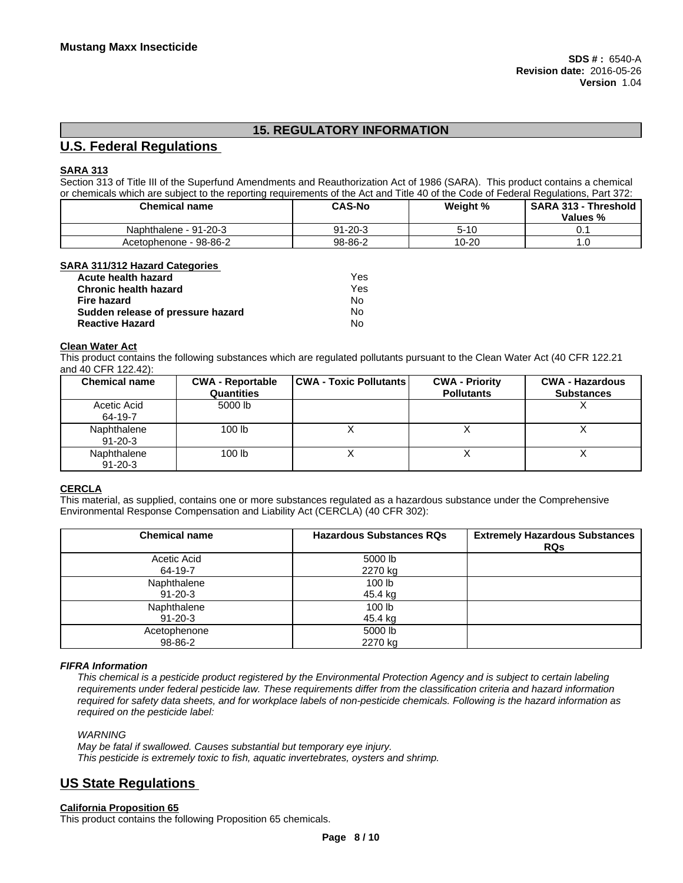# **15. REGULATORY INFORMATION**

## **U.S. Federal Regulations**

## **SARA 313**

Section 313 of Title III of the Superfund Amendments and Reauthorization Act of 1986 (SARA). This product contains a chemical or chemicals which are subject to the reporting requirements of the Act and Title 40 of the Code of Federal Regulations, Part 372:

| <b>Chemical name</b>   | <b>CAS-No</b> | Weight %  | <b>SARA 313 -</b><br><b>· Threshold</b><br>Values % |
|------------------------|---------------|-----------|-----------------------------------------------------|
| Naphthalene - 91-20-3  | 91-20-3       | $5 - 10$  | v.                                                  |
| Acetophenone - 98-86-2 | 98-86-2       | $10 - 20$ | . ب                                                 |

#### **SARA 311/312 Hazard Categories**

| <b>Acute health hazard</b>        | Yes |
|-----------------------------------|-----|
| <b>Chronic health hazard</b>      | Yes |
| Fire hazard                       | No. |
| Sudden release of pressure hazard | No  |
| <b>Reactive Hazard</b>            | No  |

#### **Clean Water Act**

This product contains the following substances which are regulated pollutants pursuant to the Clean Water Act (40 CFR 122.21 and 40 CFR 122.42):

| <b>Chemical name</b>         | <b>CWA - Reportable</b><br><b>Quantities</b> | <b>CWA - Toxic Pollutants</b> | <b>CWA - Priority</b><br><b>Pollutants</b> | <b>CWA - Hazardous</b><br><b>Substances</b> |
|------------------------------|----------------------------------------------|-------------------------------|--------------------------------------------|---------------------------------------------|
| Acetic Acid<br>64-19-7       | 5000 lb                                      |                               |                                            |                                             |
| Naphthalene<br>$91 - 20 - 3$ | 100 <sub>lb</sub>                            |                               |                                            |                                             |
| Naphthalene<br>$91 - 20 - 3$ | 100 <sub>lb</sub>                            |                               |                                            |                                             |

## **CERCLA**

This material, as supplied, contains one or more substances regulated as a hazardous substance under the Comprehensive Environmental Response Compensation and Liability Act (CERCLA) (40 CFR 302):

| <b>Chemical name</b>         | <b>Hazardous Substances RQs</b> | <b>Extremely Hazardous Substances</b><br><b>RQs</b> |
|------------------------------|---------------------------------|-----------------------------------------------------|
| Acetic Acid<br>64-19-7       | 5000 lb<br>2270 kg              |                                                     |
| Naphthalene<br>$91 - 20 - 3$ | 100 lb<br>45.4 kg               |                                                     |
| Naphthalene<br>91-20-3       | 100 lb<br>45.4 kg               |                                                     |
| Acetophenone<br>98-86-2      | 5000 lb<br>2270 kg              |                                                     |

## *FIFRA Information*

This chemical is a pesticide product registered by the Environmental Protection Agency and is subject to certain labeling requirements under federal pesticide law. These requirements differ from the classification criteria and hazard information required for safety data sheets, and for workplace labels of non-pesticide chemicals. Following is the hazard information as *required on the pesticide label:*

## *WARNING*

*May be fatal if swallowed. Causes substantial but temporary eye injury. This pesticide is extremely toxic to fish, aquatic invertebrates, oysters and shrimp.*

## **US State Regulations**

**California Proposition 65** This product contains the following Proposition 65 chemicals.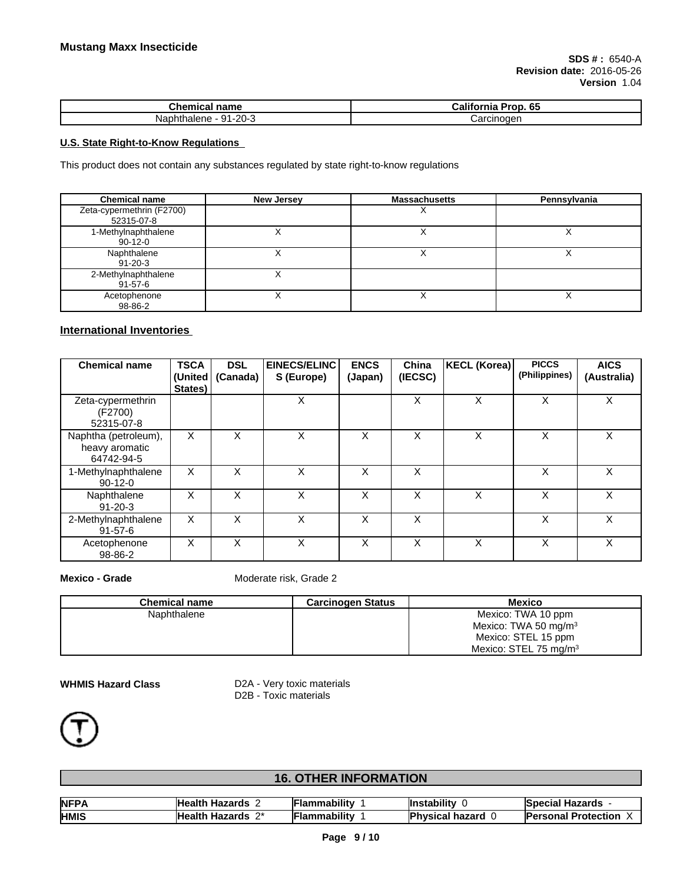| <b>Chemical name</b>                 | <br>. 65<br>Prop<br>California |  |
|--------------------------------------|--------------------------------|--|
| --20-1<br>74<br>Nap.<br>naiene<br>าน | arcinoger<br>'ا0ت              |  |

## **U.S. State Right-to-Know Regulations**

This product does not contain any substances regulated by state right-to-know regulations

| <b>Chemical name</b>                    | <b>New Jersey</b> | <b>Massachusetts</b> | Pennsylvania |
|-----------------------------------------|-------------------|----------------------|--------------|
| Zeta-cypermethrin (F2700)<br>52315-07-8 |                   |                      |              |
| 1-Methylnaphthalene<br>$90-12-0$        |                   |                      |              |
| Naphthalene<br>$91 - 20 - 3$            |                   |                      |              |
| 2-Methylnaphthalene<br>91-57-6          |                   |                      |              |
| Acetophenone<br>98-86-2                 |                   |                      | ⌒            |

## **International Inventories**

| <b>Chemical name</b>                                 | <b>TSCA</b><br>(United<br>States) | <b>DSL</b><br>(Canada) | EINECS/ELINC<br>S (Europe) | <b>ENCS</b><br>(Japan) | China<br>(IECSC) | KECL (Korea) | <b>PICCS</b><br>(Philippines) | <b>AICS</b><br>(Australia) |
|------------------------------------------------------|-----------------------------------|------------------------|----------------------------|------------------------|------------------|--------------|-------------------------------|----------------------------|
| Zeta-cypermethrin<br>(F2700)<br>52315-07-8           |                                   |                        | X                          |                        | X                | X            | X                             | X                          |
| Naphtha (petroleum),<br>heavy aromatic<br>64742-94-5 | X                                 | X                      | X                          | X                      | X                | X            | X                             | X                          |
| 1-Methylnaphthalene<br>$90-12-0$                     | X                                 | X                      | X                          | X                      | X                |              | X                             | X                          |
| Naphthalene<br>$91 - 20 - 3$                         | X                                 | X                      | X                          | X                      | X                | X            | X                             | X                          |
| 2-Methylnaphthalene<br>$91 - 57 - 6$                 | X                                 | X                      | X                          | X                      | X                |              | X                             | X                          |
| Acetophenone<br>98-86-2                              | X                                 | X                      | X                          | X                      | X                | X            | X                             | X                          |

**Mexico - Grade** Moderate risk, Grade 2

| <b>Chemical name</b> | <b>Carcinogen Status</b> | Mexico                            |
|----------------------|--------------------------|-----------------------------------|
| Naphthalene          |                          | Mexico: TWA 10 ppm                |
|                      |                          | Mexico: TWA 50 mg/m <sup>3</sup>  |
|                      |                          | Mexico: STEL 15 ppm               |
|                      |                          | Mexico: STEL 75 mg/m <sup>3</sup> |

**WHMIS Hazard Class** D2A - Very toxic materials D2B - Toxic materials



# **16. OTHER INFORMATION**

| <b>NFPA</b><br>ГМ | <b>Health</b><br>Hazards                 | Flammabilitv | <b>Instability</b>   | .<br><b>Special Hazards</b> |
|-------------------|------------------------------------------|--------------|----------------------|-----------------------------|
| <b>HMIS</b>       | $\mathbf{a}$<br><b>Health</b><br>Hazards | Flammabilitv | Þ<br>'hvsical hazard | Protection<br>lPersonal     |